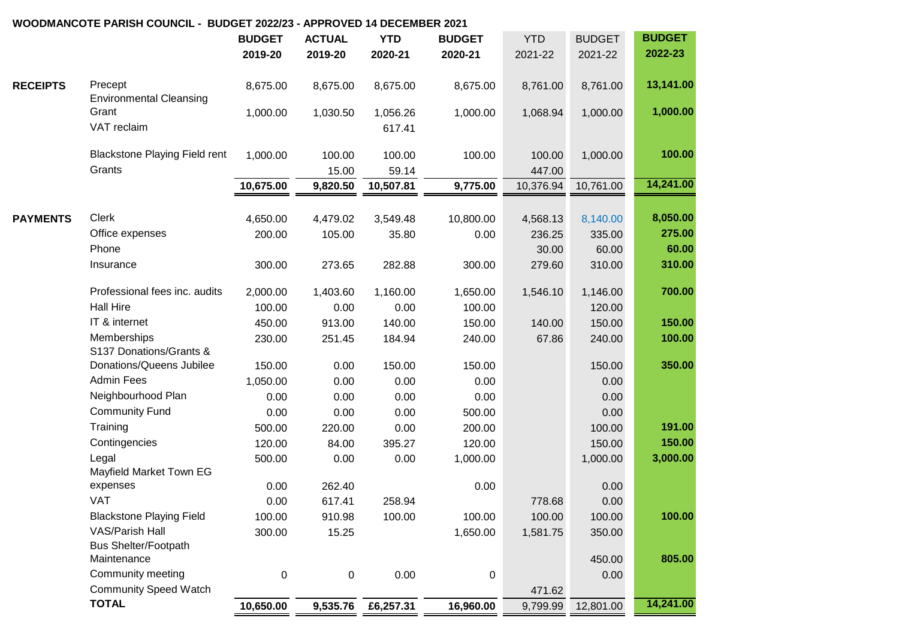|                 |                                            | <b>BUDGET</b>    | <b>ACTUAL</b> | <b>YTD</b> | <b>BUDGET</b> | <b>YTD</b> | <b>BUDGET</b> | <b>BUDGET</b> |
|-----------------|--------------------------------------------|------------------|---------------|------------|---------------|------------|---------------|---------------|
|                 |                                            | 2019-20          | 2019-20       | 2020-21    | 2020-21       | 2021-22    | 2021-22       | 2022-23       |
| <b>RECEIPTS</b> | Precept                                    | 8,675.00         | 8,675.00      | 8,675.00   | 8,675.00      | 8,761.00   | 8,761.00      | 13,141.00     |
|                 | <b>Environmental Cleansing</b><br>Grant    | 1,000.00         | 1,030.50      | 1,056.26   | 1,000.00      | 1,068.94   | 1,000.00      | 1,000.00      |
|                 | VAT reclaim                                |                  |               | 617.41     |               |            |               |               |
|                 | <b>Blackstone Playing Field rent</b>       | 1,000.00         | 100.00        | 100.00     | 100.00        | 100.00     | 1,000.00      | 100.00        |
|                 | Grants                                     |                  | 15.00         | 59.14      |               | 447.00     |               |               |
|                 |                                            | 10,675.00        | 9,820.50      | 10,507.81  | 9,775.00      | 10,376.94  | 10,761.00     | 14,241.00     |
|                 | <b>Clerk</b>                               |                  |               |            |               |            |               | 8,050.00      |
| <b>PAYMENTS</b> |                                            | 4,650.00         | 4,479.02      | 3,549.48   | 10,800.00     | 4,568.13   | 8,140.00      | 275.00        |
|                 | Office expenses<br>Phone                   | 200.00           | 105.00        | 35.80      | 0.00          | 236.25     | 335.00        | 60.00         |
|                 |                                            |                  |               |            |               | 30.00      | 60.00         |               |
|                 | Insurance                                  | 300.00           | 273.65        | 282.88     | 300.00        | 279.60     | 310.00        | 310.00        |
|                 | Professional fees inc. audits              | 2,000.00         | 1,403.60      | 1,160.00   | 1,650.00      | 1,546.10   | 1,146.00      | 700.00        |
|                 | <b>Hall Hire</b>                           | 100.00           | 0.00          | 0.00       | 100.00        |            | 120.00        |               |
|                 | IT & internet                              | 450.00           | 913.00        | 140.00     | 150.00        | 140.00     | 150.00        | 150.00        |
|                 | Memberships<br>S137 Donations/Grants &     | 230.00           | 251.45        | 184.94     | 240.00        | 67.86      | 240.00        | 100.00        |
|                 | Donations/Queens Jubilee                   | 150.00           | 0.00          | 150.00     | 150.00        |            | 150.00        | 350.00        |
|                 | <b>Admin Fees</b>                          | 1,050.00         | 0.00          | 0.00       | 0.00          |            | 0.00          |               |
|                 | Neighbourhood Plan                         | 0.00             | 0.00          | 0.00       | 0.00          |            | 0.00          |               |
|                 | <b>Community Fund</b>                      | 0.00             | 0.00          | 0.00       | 500.00        |            | 0.00          |               |
|                 | Training                                   | 500.00           | 220.00        | 0.00       | 200.00        |            | 100.00        | 191.00        |
|                 | Contingencies                              | 120.00           | 84.00         | 395.27     | 120.00        |            | 150.00        | 150.00        |
|                 | Legal                                      | 500.00           | 0.00          | 0.00       | 1,000.00      |            | 1,000.00      | 3,000.00      |
|                 | Mayfield Market Town EG                    |                  |               |            |               |            |               |               |
|                 | expenses                                   | 0.00             | 262.40        |            | 0.00          |            | 0.00          |               |
|                 | <b>VAT</b>                                 | 0.00             | 617.41        | 258.94     |               | 778.68     | 0.00          |               |
|                 | <b>Blackstone Playing Field</b>            | 100.00           | 910.98        | 100.00     | 100.00        | 100.00     | 100.00        | 100.00        |
|                 | <b>VAS/Parish Hall</b>                     | 300.00           | 15.25         |            | 1,650.00      | 1,581.75   | 350.00        |               |
|                 | <b>Bus Shelter/Footpath</b><br>Maintenance |                  |               |            |               |            | 450.00        | 805.00        |
|                 | Community meeting                          | $\boldsymbol{0}$ | 0             | 0.00       | 0             |            | 0.00          |               |
|                 | <b>Community Speed Watch</b>               |                  |               |            |               | 471.62     |               |               |
|                 | <b>TOTAL</b>                               | 10,650.00        | 9,535.76      | £6,257.31  | 16,960.00     | 9,799.99   | 12,801.00     | 14,241.00     |